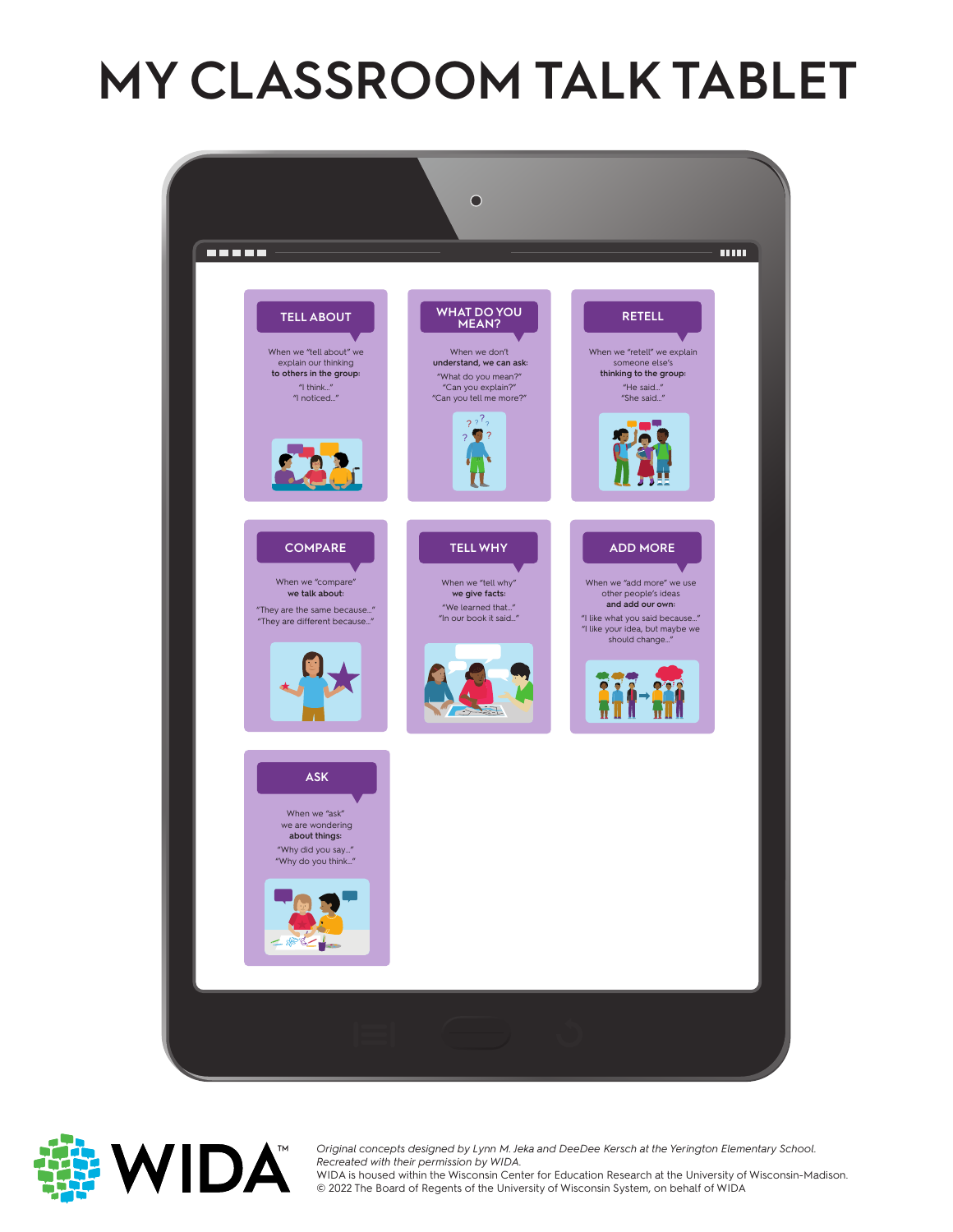# **MY CLASSROOM TALK TABLET**





Original concepts designed by Lynn M. Je<br>Recreated with their permission by WIDA. *Original concepts designed by Lynn M. Jeka and DeeDee Kersch at the Yerington Elementary School.*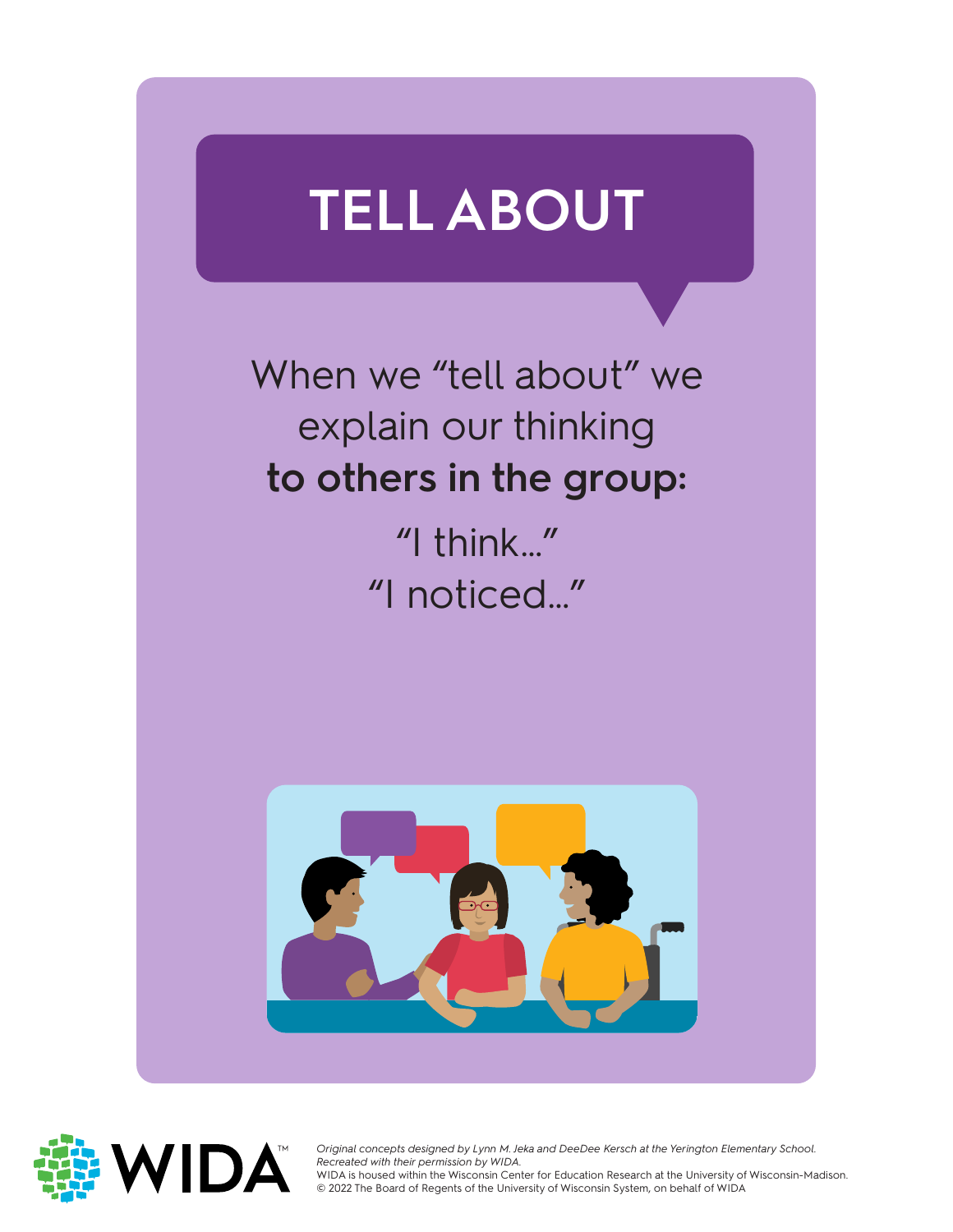## **TELL ABOUT**

When we "tell about" we explain our thinking **to others in the group:**

> "I think…" "I noticed…"





Original concepts designed by Lynn M. Je<br>Recreated with their permission by WIDA. *Original concepts designed by Lynn M. Jeka and DeeDee Kersch at the Yerington Elementary School.*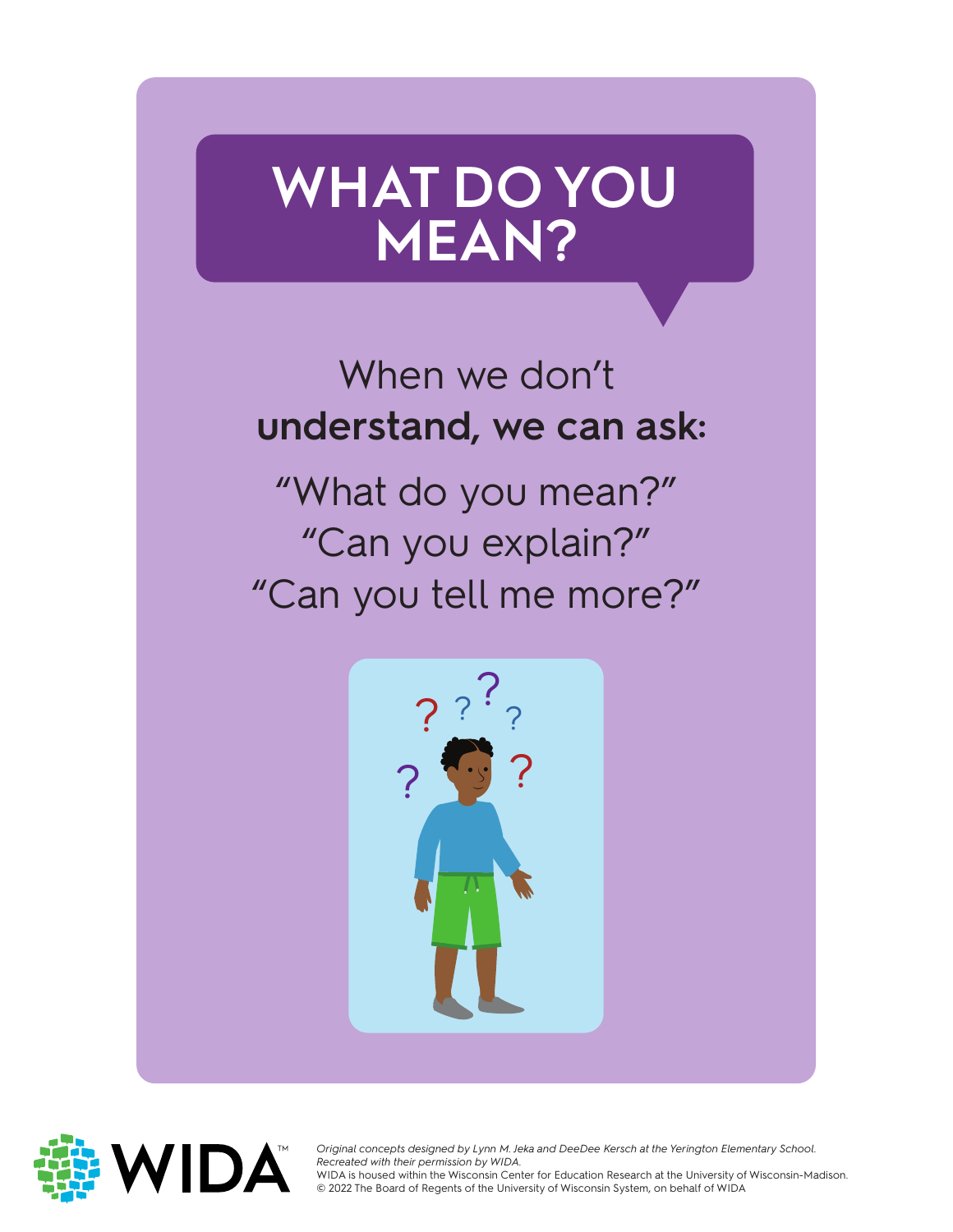## **WHAT DO YOU MEAN?**

#### When we don't **understand, we can ask:**

"What do you mean?" "Can you explain?" "Can you tell me more?"





Original concepts designed by Lynn M. Je<br>Recreated with their permission by WIDA. *Original concepts designed by Lynn M. Jeka and DeeDee Kersch at the Yerington Elementary School.*  WIDA is housed within the Wisconsin Center for Education Research at the University of Wisconsin-Madison.

WIDA is housed within the Wisconsin Center for Education Research at the University of<br>© 2022 The Board of Regents of the University of Wisconsin System, on behalf of WIDA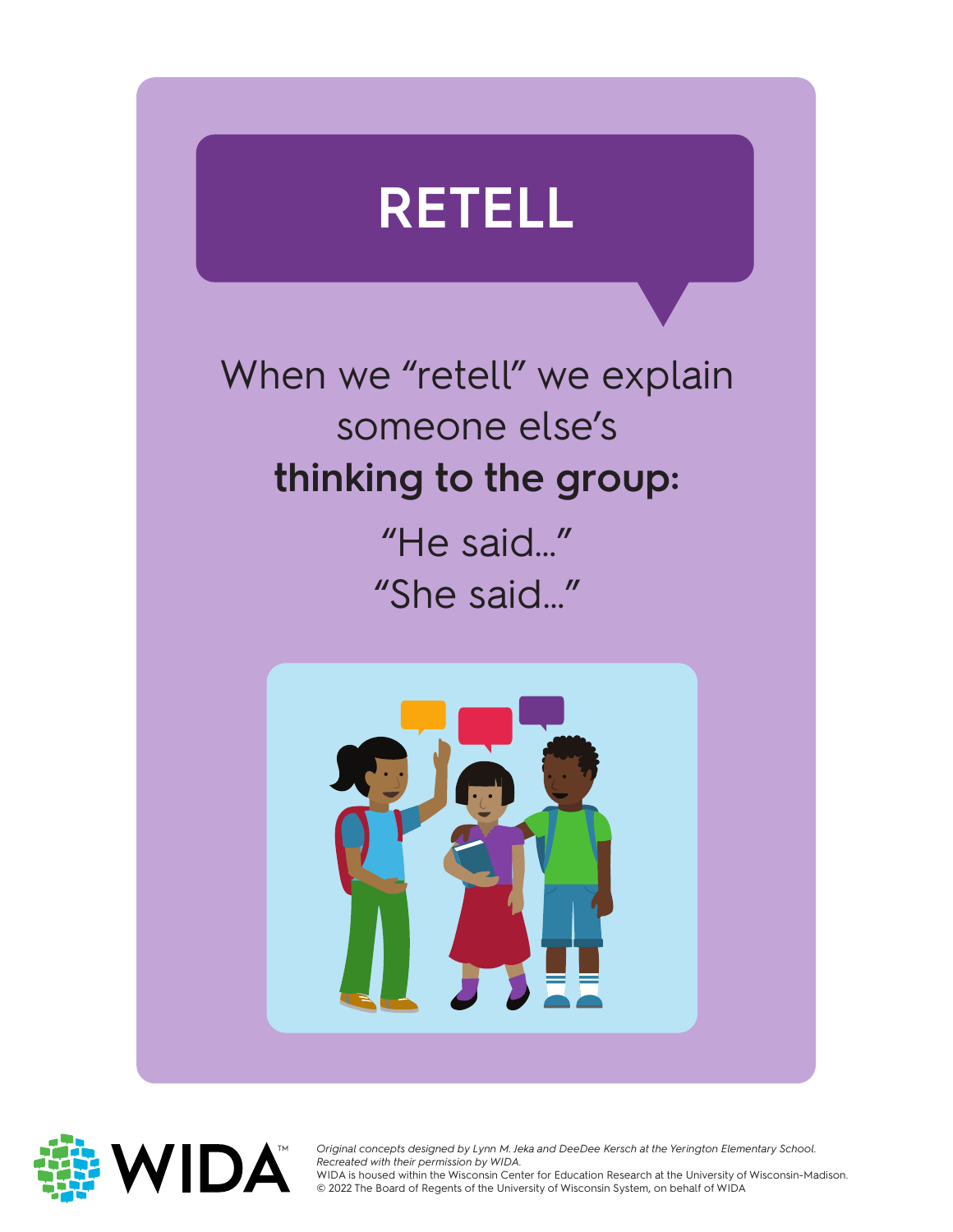

When we "retell" we explain someone else's **thinking to the group:**

> "He said…" "She said…"





Original concepts designed by Lynn M. Jeka and DeeDee Kersch at the Yerington Elementary School.<br>Recreated with their permission by WIDA. *Recreated with their permission by WIDA.*

WIDA is housed within the Wisconsin Center for Education Research at the University of Wisconsin-Madison.<br>© 2022 The Board of Regents of the University of Wisconsin System, on behalf of WIDA © 2022 The Board of Regents of the University of Wisconsin System, on behalf of WIDA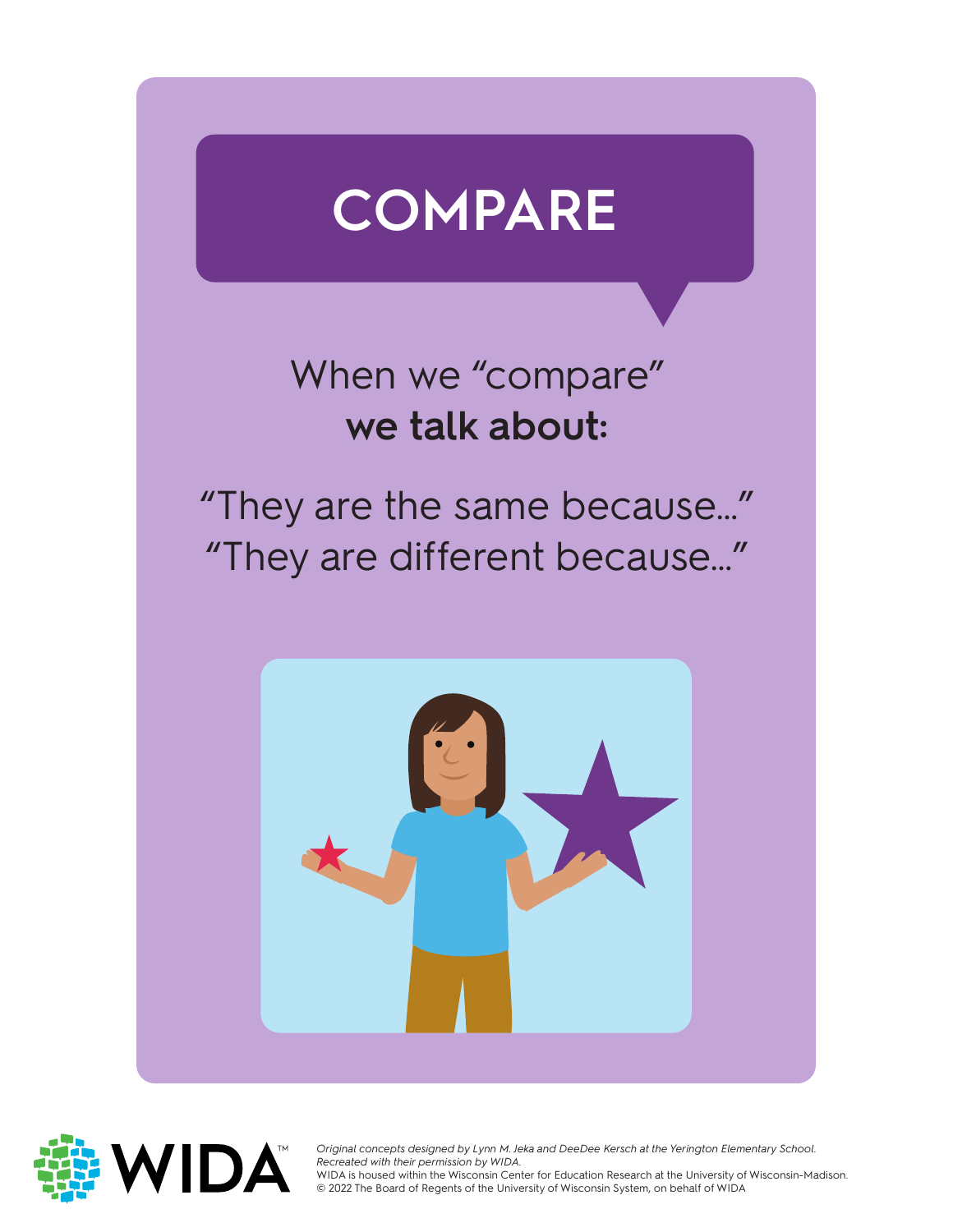

#### When we "compare" **we talk about:**

"They are the same because…" "They are different because…"





Original concepts designed by Lynn M. Jeka and DeeDee Kersch at the Yerington Elementary School.<br>Recreated with their permission by WIDA. *Recreated with their permission by WIDA.*

WIDA is housed within the Wisconsin Center for Education Research at the University of Wisconsin-Madison.<br>© 2022 The Board of Regents of the University of Wisconsin System, on behalf of WIDA © 2022 The Board of Regents of the University of Wisconsin System, on behalf of WIDA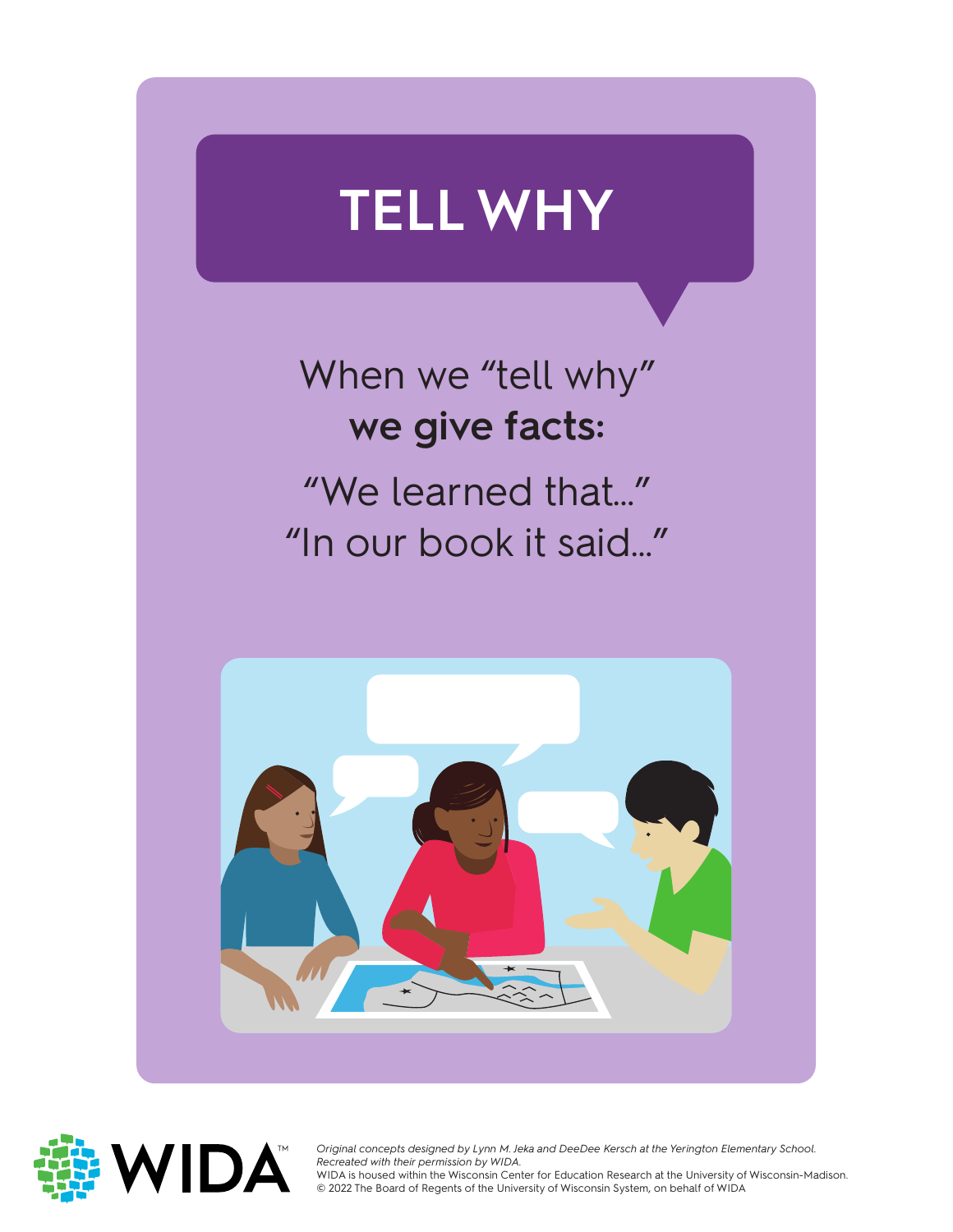# **TELL WHY**

### When we "tell why" **we give facts:** "We learned that…" "In our book it said…"





Original concepts designed by Lynn M. Jeka and DeeDee Kersch at the Yerington Elementary School.<br>Recreated with their permission by WIDA. *Recreated with their permission by WIDA.*

WIDA is housed within the Wisconsin Center for Education Research at the University of Wisconsin-Madison.<br>© 2022 The Board of Regents of the University of Wisconsin System, on behalf of WIDA © 2022 The Board of Regents of the University of Wisconsin System, on behalf of WIDA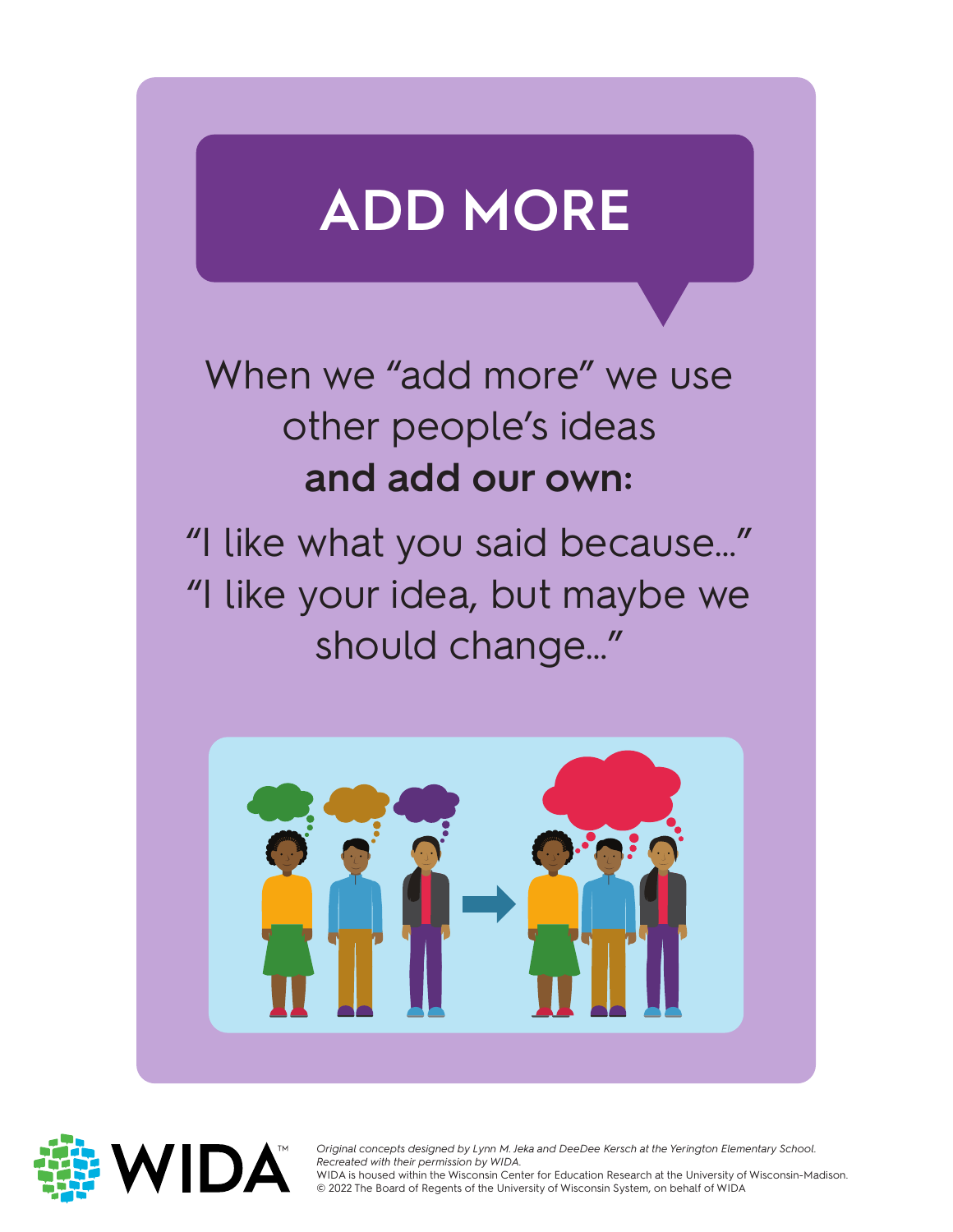## **ADD MORE**

When we "add more" we use other people's ideas **and add our own:**

"I like what you said because…" "I like your idea, but maybe we should change…"





Original concepts designed by Lynn M. Je<br>Recreated with their permission by WIDA. *Original concepts designed by Lynn M. Jeka and DeeDee Kersch at the Yerington Elementary School.*